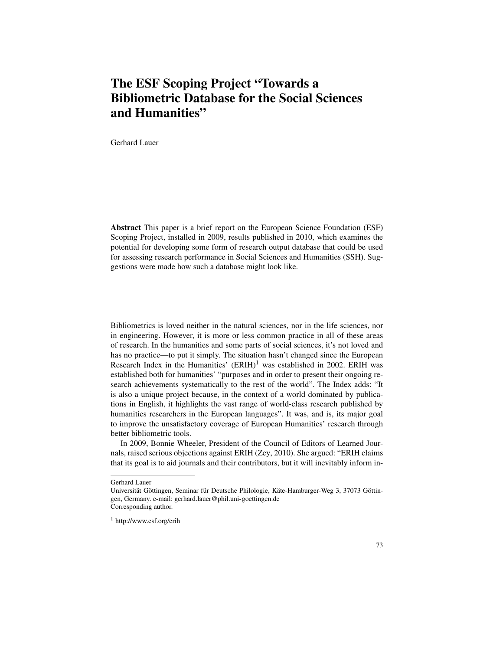## The ESF Scoping Project "Towards a Bibliometric Database for the Social Sciences and Humanities"

Gerhard Lauer

Abstract This paper is a brief report on the European Science Foundation (ESF) Scoping Project, installed in 2009, results published in 2010, which examines the potential for developing some form of research output database that could be used for assessing research performance in Social Sciences and Humanities (SSH). Suggestions were made how such a database might look like.

Bibliometrics is loved neither in the natural sciences, nor in the life sciences, nor in engineering. However, it is more or less common practice in all of these areas of research. In the humanities and some parts of social sciences, it's not loved and has no practice—to put it simply. The situation hasn't changed since the European Research Index in the Humanities'  $(ERIH)^1$  was established in 2002. ERIH was established both for humanities' "purposes and in order to present their ongoing research achievements systematically to the rest of the world". The Index adds: "It is also a unique project because, in the context of a world dominated by publications in English, it highlights the vast range of world-class research published by humanities researchers in the European languages". It was, and is, its major goal to improve the unsatisfactory coverage of European Humanities' research through better bibliometric tools.

In 2009, Bonnie Wheeler, President of the Council of Editors of Learned Journals, raised serious objections against ERIH (Zey, 2010). She argued: "ERIH claims that its goal is to aid journals and their contributors, but it will inevitably inform in-

Gerhard Lauer

Universität Göttingen, Seminar für Deutsche Philologie, Käte-Hamburger-Weg 3, 37073 Göttingen, Germany. e-mail: gerhard.lauer@phil.uni-goettingen.de Corresponding author.

<sup>1</sup> http://www.esf.org/erih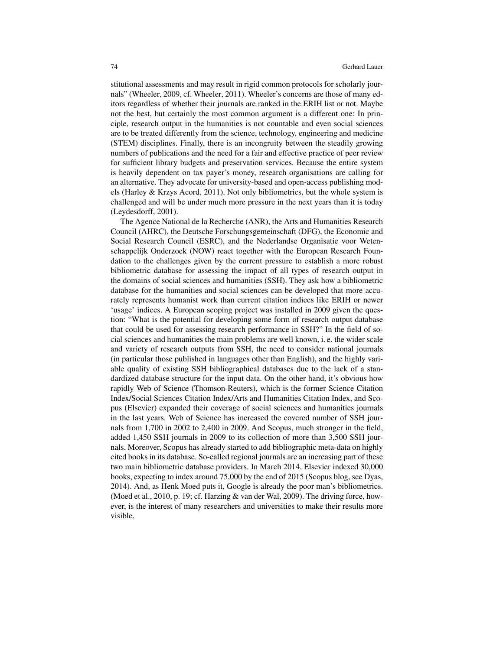stitutional assessments and may result in rigid common protocols for scholarly journals" (Wheeler, 2009, cf. Wheeler, 2011). Wheeler's concerns are those of many editors regardless of whether their journals are ranked in the ERIH list or not. Maybe not the best, but certainly the most common argument is a different one: In principle, research output in the humanities is not countable and even social sciences are to be treated differently from the science, technology, engineering and medicine (STEM) disciplines. Finally, there is an incongruity between the steadily growing numbers of publications and the need for a fair and effective practice of peer review for sufficient library budgets and preservation services. Because the entire system is heavily dependent on tax payer's money, research organisations are calling for an alternative. They advocate for university-based and open-access publishing models (Harley & Krzys Acord, 2011). Not only bibliometrics, but the whole system is challenged and will be under much more pressure in the next years than it is today (Leydesdorff, 2001).

The Agence National de la Recherche (ANR), the Arts and Humanities Research Council (AHRC), the Deutsche Forschungsgemeinschaft (DFG), the Economic and Social Research Council (ESRC), and the Nederlandse Organisatie voor Wetenschappelijk Onderzoek (NOW) react together with the European Research Foundation to the challenges given by the current pressure to establish a more robust bibliometric database for assessing the impact of all types of research output in the domains of social sciences and humanities (SSH). They ask how a bibliometric database for the humanities and social sciences can be developed that more accurately represents humanist work than current citation indices like ERIH or newer 'usage' indices. A European scoping project was installed in 2009 given the question: "What is the potential for developing some form of research output database that could be used for assessing research performance in SSH?" In the field of social sciences and humanities the main problems are well known, i. e. the wider scale and variety of research outputs from SSH, the need to consider national journals (in particular those published in languages other than English), and the highly variable quality of existing SSH bibliographical databases due to the lack of a standardized database structure for the input data. On the other hand, it's obvious how rapidly Web of Science (Thomson-Reuters), which is the former Science Citation Index/Social Sciences Citation Index/Arts and Humanities Citation Index, and Scopus (Elsevier) expanded their coverage of social sciences and humanities journals in the last years. Web of Science has increased the covered number of SSH journals from 1,700 in 2002 to 2,400 in 2009. And Scopus, much stronger in the field, added 1,450 SSH journals in 2009 to its collection of more than 3,500 SSH journals. Moreover, Scopus has already started to add bibliographic meta-data on highly cited books in its database. So-called regional journals are an increasing part of these two main bibliometric database providers. In March 2014, Elsevier indexed 30,000 books, expecting to index around 75,000 by the end of 2015 (Scopus blog, see Dyas, 2014). And, as Henk Moed puts it, Google is already the poor man's bibliometrics. (Moed et al., 2010, p. 19; cf. Harzing & van der Wal, 2009). The driving force, however, is the interest of many researchers and universities to make their results more visible.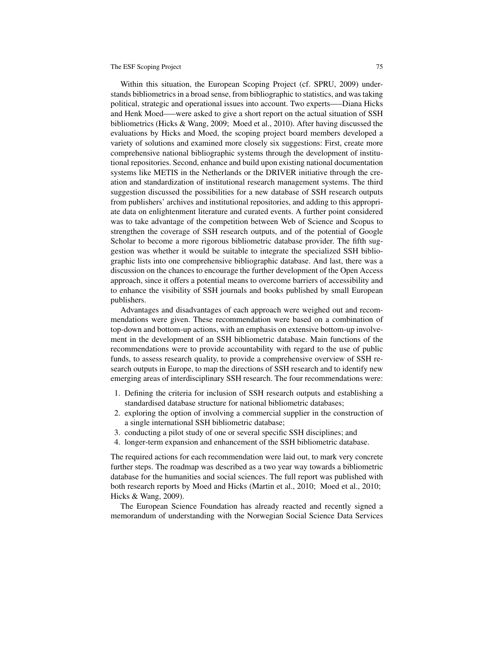## The ESF Scoping Project 75

Within this situation, the European Scoping Project (cf. SPRU, 2009) understands bibliometrics in a broad sense, from bibliographic to statistics, and was taking political, strategic and operational issues into account. Two experts—–Diana Hicks and Henk Moed—–were asked to give a short report on the actual situation of SSH bibliometrics (Hicks & Wang, 2009; Moed et al., 2010). After having discussed the evaluations by Hicks and Moed, the scoping project board members developed a variety of solutions and examined more closely six suggestions: First, create more comprehensive national bibliographic systems through the development of institutional repositories. Second, enhance and build upon existing national documentation systems like METIS in the Netherlands or the DRIVER initiative through the creation and standardization of institutional research management systems. The third suggestion discussed the possibilities for a new database of SSH research outputs from publishers' archives and institutional repositories, and adding to this appropriate data on enlightenment literature and curated events. A further point considered was to take advantage of the competition between Web of Science and Scopus to strengthen the coverage of SSH research outputs, and of the potential of Google Scholar to become a more rigorous bibliometric database provider. The fifth suggestion was whether it would be suitable to integrate the specialized SSH bibliographic lists into one comprehensive bibliographic database. And last, there was a discussion on the chances to encourage the further development of the Open Access approach, since it offers a potential means to overcome barriers of accessibility and to enhance the visibility of SSH journals and books published by small European publishers.

Advantages and disadvantages of each approach were weighed out and recommendations were given. These recommendation were based on a combination of top-down and bottom-up actions, with an emphasis on extensive bottom-up involvement in the development of an SSH bibliometric database. Main functions of the recommendations were to provide accountability with regard to the use of public funds, to assess research quality, to provide a comprehensive overview of SSH research outputs in Europe, to map the directions of SSH research and to identify new emerging areas of interdisciplinary SSH research. The four recommendations were:

- 1. Defining the criteria for inclusion of SSH research outputs and establishing a standardised database structure for national bibliometric databases;
- 2. exploring the option of involving a commercial supplier in the construction of a single international SSH bibliometric database;
- 3. conducting a pilot study of one or several specific SSH disciplines; and
- 4. longer-term expansion and enhancement of the SSH bibliometric database.

The required actions for each recommendation were laid out, to mark very concrete further steps. The roadmap was described as a two year way towards a bibliometric database for the humanities and social sciences. The full report was published with both research reports by Moed and Hicks (Martin et al., 2010; Moed et al., 2010; Hicks & Wang, 2009).

The European Science Foundation has already reacted and recently signed a memorandum of understanding with the Norwegian Social Science Data Services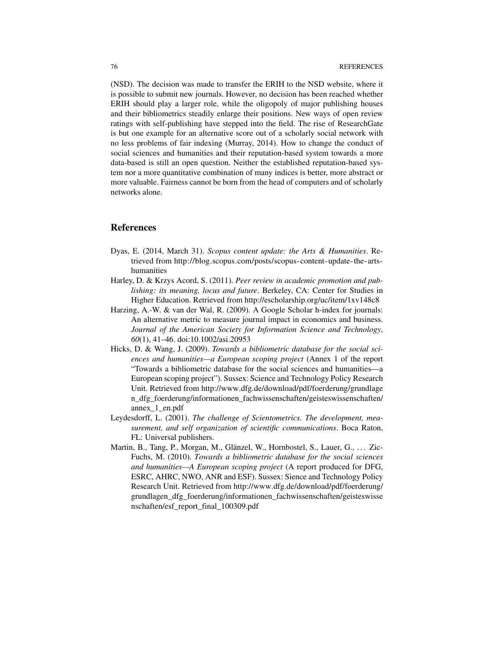(NSD). The decision was made to transfer the ERIH to the NSD website, where it is possible to submit new journals. However, no decision has been reached whether ERIH should play a larger role, while the oligopoly of major publishing houses and their bibliometrics steadily enlarge their positions. New ways of open review ratings with self-publishing have stepped into the field. The rise of ResearchGate is but one example for an alternative score out of a scholarly social network with no less problems of fair indexing (Murray, 2014). How to change the conduct of social sciences and humanities and their reputation-based system towards a more data-based is still an open question. Neither the established reputation-based system nor a more quantitative combination of many indices is better, more abstract or more valuable. Fairness cannot be born from the head of computers and of scholarly networks alone.

## References

- Dyas, E. (2014, March 31). *Scopus content update: the Arts & Humanities*. Retrieved from http://blog.scopus.com/posts/scopus-content-update-the-artshumanities
- Harley, D. & Krzys Acord, S. (2011). *Peer review in academic promotion and publishing: its meaning, locus and future*. Berkeley, CA: Center for Studies in Higher Education. Retrieved from http://escholarship.org/uc/item/1xv148c8
- Harzing, A.-W. & van der Wal, R. (2009). A Google Scholar h-index for journals: An alternative metric to measure journal impact in economics and business. *Journal of the American Society for Information Science and Technology*, *60*(1), 41–46. doi:10.1002/asi.20953
- Hicks, D. & Wang, J. (2009). *Towards a bibliometric database for the social sciences and humanities—a European scoping project* (Annex 1 of the report "Towards a bibliometric database for the social sciences and humanities—a European scoping project"). Sussex: Science and Technology Policy Research Unit. Retrieved from http://www.dfg.de/download/pdf/foerderung/grundlage n dfg foerderung/informationen fachwissenschaften/geisteswissenschaften/ annex\_1\_en.pdf
- Leydesdorff, L. (2001). *The challenge of Scientometrics. The development, measurement, and self organization of scientific communications*. Boca Raton, FL: Universal publishers.
- Martin, B., Tang, P., Morgan, M., Glänzel, W., Hornbostel, S., Lauer, G., ... Zic-Fuchs, M. (2010). *Towards a bibliometric database for the social sciences and humanities—A European scoping project* (A report produced for DFG, ESRC, AHRC, NWO, ANR and ESF). Sussex: Sience and Technology Policy Research Unit. Retrieved from http://www.dfg.de/download/pdf/foerderung/ grundlagen\_dfg\_foerderung/informationen\_fachwissenschaften/geisteswisse nschaften/esf\_report\_final\_100309.pdf